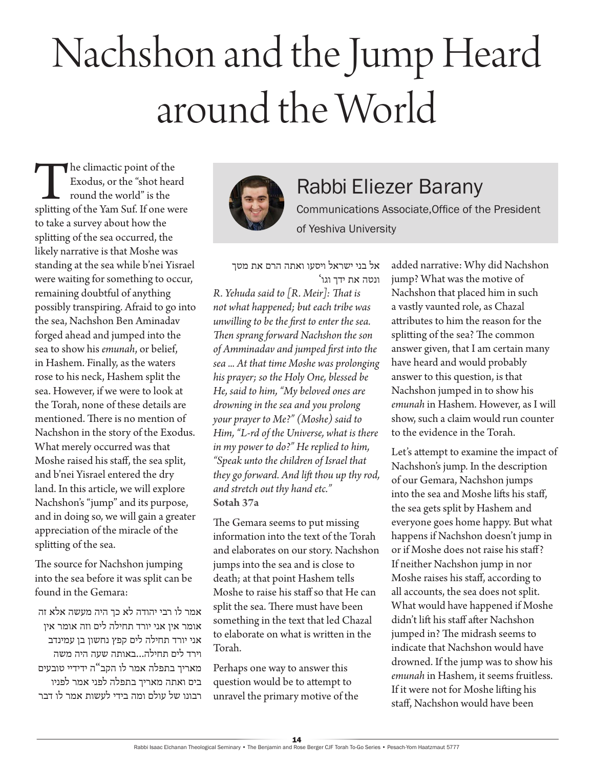## Nachshon and the Jump Heard around the World

The climactic point of the<br>
Exodus, or the "shot heard<br>
round the world" is the<br>
splitting of the Yam Suf. If one were Exodus, or the "shot heard round the world" is the to take a survey about how the splitting of the sea occurred, the likely narrative is that Moshe was standing at the sea while b'nei Yisrael were waiting for something to occur, remaining doubtful of anything possibly transpiring. Afraid to go into the sea, Nachshon Ben Aminadav forged ahead and jumped into the sea to show his *emunah*, or belief, in Hashem. Finally, as the waters rose to his neck, Hashem split the sea. However, if we were to look at the Torah, none of these details are mentioned. There is no mention of Nachshon in the story of the Exodus. What merely occurred was that Moshe raised his staff, the sea split, and b'nei Yisrael entered the dry land. In this article, we will explore Nachshon's "jump" and its purpose, and in doing so, we will gain a greater appreciation of the miracle of the splitting of the sea.

The source for Nachshon jumping into the sea before it was split can be found in the Gemara:

אמר לו רבי יהודה לא כך היה מעשה אלא זה אומר אין אני יורד תחילה לים וזה אומר אין אני יורד תחילה לים קפץ נחשון בן עמינדב וירד לים תחילה...באותה שעה היה משה מאריך בתפלה אמר לו הקב"ה ידידיי טובעים בים ואתה מאריך בתפלה לפני אמר לפניו רבונו של עולם ומה בידי לעשות אמר לו דבר



## Rabbi Eliezer Barany

Communications Associate,Office of the President of Yeshiva University

אל בני ישראל ויסעו ואתה הרם את מטך ונטה את ידך וגו'

*R. Yehuda said to [R. Meir]: That is not what happened; but each tribe was unwilling to be the first to enter the sea. Then sprang forward Nachshon the son of Amminadav and jumped first into the sea ... At that time Moshe was prolonging his prayer; so the Holy One, blessed be He, said to him, "My beloved ones are drowning in the sea and you prolong your prayer to Me?" (Moshe) said to Him, "L-rd of the Universe, what is there in my power to do?" He replied to him, "Speak unto the children of Israel that they go forward. And lift thou up thy rod, and stretch out thy hand etc."* **Sotah 37a**

The Gemara seems to put missing information into the text of the Torah and elaborates on our story. Nachshon jumps into the sea and is close to death; at that point Hashem tells Moshe to raise his staff so that He can split the sea. There must have been something in the text that led Chazal to elaborate on what is written in the Torah.

Perhaps one way to answer this question would be to attempt to unravel the primary motive of the added narrative: Why did Nachshon jump? What was the motive of Nachshon that placed him in such a vastly vaunted role, as Chazal attributes to him the reason for the splitting of the sea? The common answer given, that I am certain many have heard and would probably answer to this question, is that Nachshon jumped in to show his *emunah* in Hashem. However, as I will show, such a claim would run counter to the evidence in the Torah.

Let's attempt to examine the impact of Nachshon's jump. In the description of our Gemara, Nachshon jumps into the sea and Moshe lifts his staff, the sea gets split by Hashem and everyone goes home happy. But what happens if Nachshon doesn't jump in or if Moshe does not raise his staff? If neither Nachshon jump in nor Moshe raises his staff, according to all accounts, the sea does not split. What would have happened if Moshe didn't lift his staff after Nachshon jumped in? The midrash seems to indicate that Nachshon would have drowned. If the jump was to show his *emunah* in Hashem, it seems fruitless. If it were not for Moshe lifting his staff, Nachshon would have been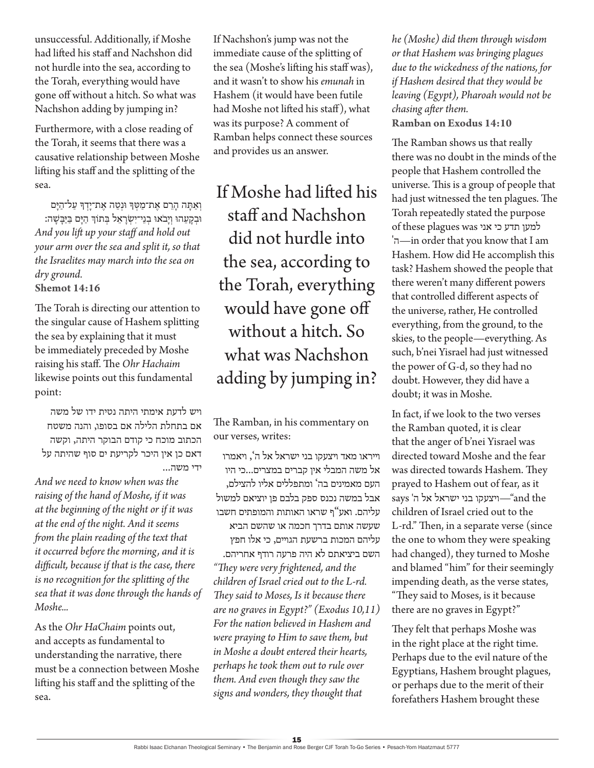unsuccessful. Additionally, if Moshe had lifted his staff and Nachshon did not hurdle into the sea, according to the Torah, everything would have gone off without a hitch. So what was Nachshon adding by jumping in?

Furthermore, with a close reading of the Torah, it seems that there was a causative relationship between Moshe lifting his staff and the splitting of the sea.

וְאַתַּה הַרֵם אֶת־מַטְּךָּ וּנְטֶה אֶת־יַדְךָּ עַל־הַיַּם וּבְקָעֵהוּ וְיָבֹאוּ בְנֵי־יִשְׂרָאֵל בְּתוֹךְ הַיָּם בַּיַּבָּשָׁה: *And you lift up your staff and hold out your arm over the sea and split it, so that the Israelites may march into the sea on dry ground.*

**Shemot 14:16**

The Torah is directing our attention to the singular cause of Hashem splitting the sea by explaining that it must be immediately preceded by Moshe raising his staff. The *Ohr Hachaim* likewise points out this fundamental point:

ויש לדעת אימתי היתה נטית ידו של משה אם בתחלת הלילה אם בסופו, והנה משטח הכתוב מוכח כי קודם הבוקר היתה, וקשה דאם כן אין היכר לקריעת ים סוף שהיתה על ידי משה...

*And we need to know when was the raising of the hand of Moshe, if it was at the beginning of the night or if it was at the end of the night. And it seems from the plain reading of the text that it occurred before the morning, and it is difficult, because if that is the case, there is no recognition for the splitting of the sea that it was done through the hands of Moshe...*

As the *Ohr HaChaim* points out, and accepts as fundamental to understanding the narrative, there must be a connection between Moshe lifting his staff and the splitting of the sea.

If Nachshon's jump was not the immediate cause of the splitting of the sea (Moshe's lifting his staff was), and it wasn't to show his *emunah* in Hashem (it would have been futile had Moshe not lifted his staff), what was its purpose? A comment of Ramban helps connect these sources and provides us an answer.

If Moshe had lifted his staff and Nachshon did not hurdle into the sea, according to the Torah, everything would have gone off without a hitch. So what was Nachshon adding by jumping in?

The Ramban, in his commentary on our verses, writes:

וייראו מאד ויצעקו בני ישראל אל ה', ויאמרו אל משה המבלי אין קברים במצרים...כי היו העם מאמינים בה' ומתפללים אליו להצילם, אבל במשה נכנס ספק בלבם פן יוציאם למשול עליהם. ואע"ף שראו האותות והמופתים חשבו שעשה אותם בדרך חכמה או שהשם הביא עליהם המכות ברשעת הגויים, כי אלו חפץ השם ביציאתם לא היה פרעה רודף אחריהם. *"They were very frightened, and the children of Israel cried out to the L-rd. They said to Moses, Is it because there are no graves in Egypt?" (Exodus 10,11) For the nation believed in Hashem and were praying to Him to save them, but in Moshe a doubt entered their hearts, perhaps he took them out to rule over them. And even though they saw the signs and wonders, they thought that* 

*he (Moshe) did them through wisdom or that Hashem was bringing plagues due to the wickedness of the nations, for if Hashem desired that they would be leaving (Egypt), Pharoah would not be chasing after them.*

**Ramban on Exodus 14:10**

The Ramban shows us that really there was no doubt in the minds of the people that Hashem controlled the universe. This is a group of people that had just witnessed the ten plagues. The Torah repeatedly stated the purpose למען תדע כי אני was plagues these of 'ה—in order that you know that I am Hashem. How did He accomplish this task? Hashem showed the people that there weren't many different powers that controlled different aspects of the universe, rather, He controlled everything, from the ground, to the skies, to the people—everything. As such, b'nei Yisrael had just witnessed the power of G-d, so they had no doubt. However, they did have a doubt; it was in Moshe.

In fact, if we look to the two verses the Ramban quoted, it is clear that the anger of b'nei Yisrael was directed toward Moshe and the fear was directed towards Hashem. They prayed to Hashem out of fear, as it  $\,$ ויצעקו בני ישראל אל ה' says and the children of Israel cried out to the L-rd." Then, in a separate verse (since the one to whom they were speaking had changed), they turned to Moshe and blamed "him" for their seemingly impending death, as the verse states, "They said to Moses, is it because there are no graves in Egypt?"

They felt that perhaps Moshe was in the right place at the right time. Perhaps due to the evil nature of the Egyptians, Hashem brought plagues, or perhaps due to the merit of their forefathers Hashem brought these